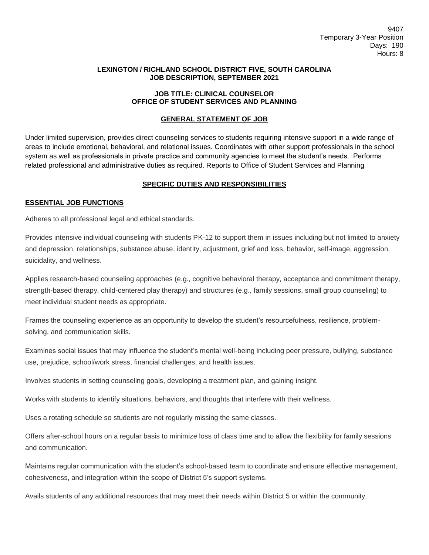### **LEXINGTON / RICHLAND SCHOOL DISTRICT FIVE, SOUTH CAROLINA JOB DESCRIPTION, SEPTEMBER 2021**

### **JOB TITLE: CLINICAL COUNSELOR OFFICE OF STUDENT SERVICES AND PLANNING**

## **GENERAL STATEMENT OF JOB**

Under limited supervision, provides direct counseling services to students requiring intensive support in a wide range of areas to include emotional, behavioral, and relational issues. Coordinates with other support professionals in the school system as well as professionals in private practice and community agencies to meet the student's needs. Performs related professional and administrative duties as required. Reports to Office of Student Services and Planning

## **SPECIFIC DUTIES AND RESPONSIBILITIES**

### **ESSENTIAL JOB FUNCTIONS**

Adheres to all professional legal and ethical standards.

Provides intensive individual counseling with students PK-12 to support them in issues including but not limited to anxiety and depression, relationships, substance abuse, identity, adjustment, grief and loss, behavior, self-image, aggression, suicidality, and wellness.

Applies research-based counseling approaches (e.g., cognitive behavioral therapy, acceptance and commitment therapy, strength-based therapy, child-centered play therapy) and structures (e.g., family sessions, small group counseling) to meet individual student needs as appropriate.

Frames the counseling experience as an opportunity to develop the student's resourcefulness, resilience, problemsolving, and communication skills.

Examines social issues that may influence the student's mental well-being including peer pressure, bullying, substance use, prejudice, school/work stress, financial challenges, and health issues.

Involves students in setting counseling goals, developing a treatment plan, and gaining insight.

Works with students to identify situations, behaviors, and thoughts that interfere with their wellness.

Uses a rotating schedule so students are not regularly missing the same classes.

Offers after-school hours on a regular basis to minimize loss of class time and to allow the flexibility for family sessions and communication.

Maintains regular communication with the student's school-based team to coordinate and ensure effective management, cohesiveness, and integration within the scope of District 5's support systems.

Avails students of any additional resources that may meet their needs within District 5 or within the community.